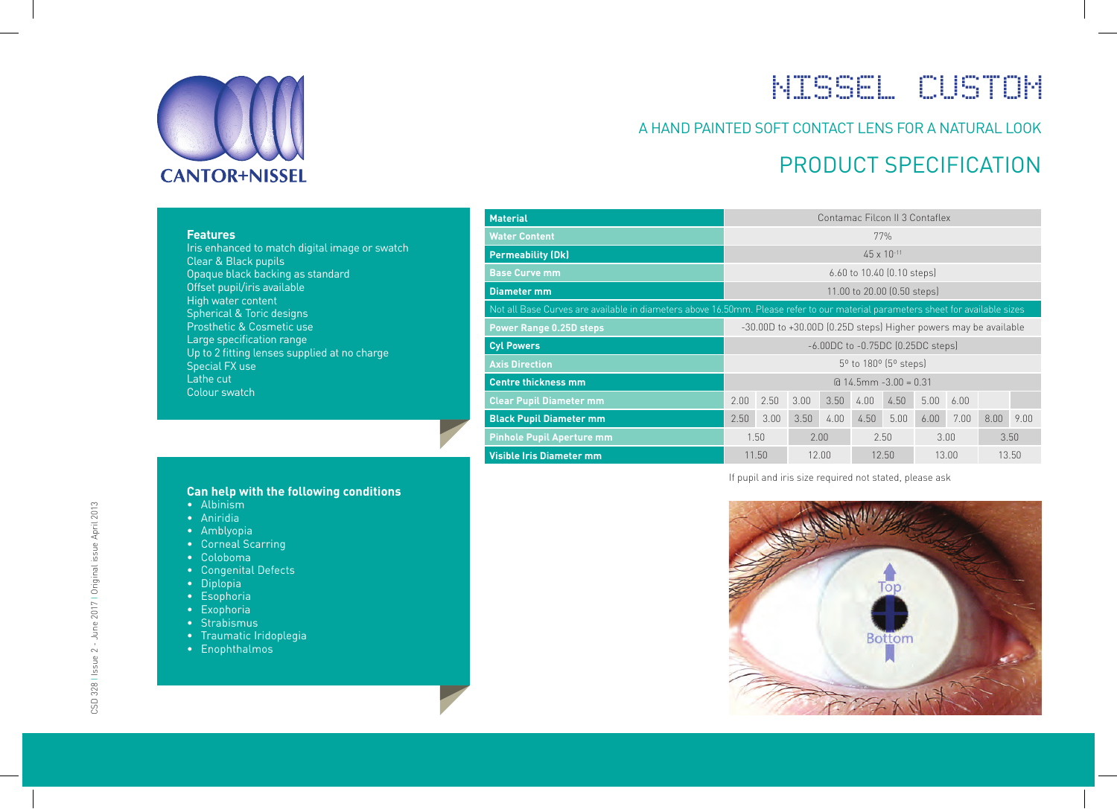

# NISSEL CUSTOM

### A HAND PAINTED SOFT CONTACT LENS FOR A NATURAL LOOK

### PRODUCT SPECIFICATION

|  |  | <b>Features</b> |  |
|--|--|-----------------|--|
|  |  |                 |  |

Iris enhanced to match digital image or swatch Clear & Black pupils Opaque black backing as standard Offset pupil/iris available High water content Spherical & Toric designs Prosthetic & Cosmetic use Large specification range Up to 2 fitting lenses supplied at no charge Special FX use Lathe cut Colour swatch

| <b>Material</b>                                                                                                                 | Contamac Filcon II 3 Contaflex                                  |      |      |      |       |      |      |      |      |      |
|---------------------------------------------------------------------------------------------------------------------------------|-----------------------------------------------------------------|------|------|------|-------|------|------|------|------|------|
| <b>Water Content</b><br>77%                                                                                                     |                                                                 |      |      |      |       |      |      |      |      |      |
| <b>Permeability (Dk)</b>                                                                                                        | $45 \times 10^{-11}$                                            |      |      |      |       |      |      |      |      |      |
| <b>Base Curve mm</b>                                                                                                            | 6.60 to 10.40 [0.10 steps]                                      |      |      |      |       |      |      |      |      |      |
| 11.00 to 20.00 (0.50 steps)<br><b>Diameter mm</b>                                                                               |                                                                 |      |      |      |       |      |      |      |      |      |
| Not all Base Curves are available in diameters above 16.50mm. Please refer to our material parameters sheet for available sizes |                                                                 |      |      |      |       |      |      |      |      |      |
| <b>Power Range 0.25D steps</b>                                                                                                  | -30.00D to +30.00D (0.25D steps) Higher powers may be available |      |      |      |       |      |      |      |      |      |
| <b>Cyl Powers</b>                                                                                                               | $-6.00DC$ to $-0.75DC$ (0.25DC steps)                           |      |      |      |       |      |      |      |      |      |
| <b>Axis Direction</b>                                                                                                           | 5 <sup>o</sup> to 180 <sup>o</sup> (5 <sup>o</sup> steps)       |      |      |      |       |      |      |      |      |      |
| <b>Centre thickness mm</b>                                                                                                      | $Q$ 14.5mm $-3.00 = 0.31$                                       |      |      |      |       |      |      |      |      |      |
| <b>Clear Pupil Diameter mm</b>                                                                                                  | 2.00                                                            | 2.50 | 3.00 | 3.50 | 4.00  | 4.50 | 5.00 | 6.00 |      |      |
| <b>Black Pupil Diameter mm</b>                                                                                                  | 2.50                                                            | 3.00 | 3.50 | 4.00 | 4.50  | 5.00 | 6.00 | 7.00 | 8.00 | 9.00 |
| <b>Pinhole Pupil Aperture mm</b>                                                                                                | 1.50<br>2.00                                                    |      |      | 2.50 |       | 3.00 |      | 3.50 |      |      |
| <b>Visible Iris Diameter mm</b>                                                                                                 | 12.50<br>13.00<br>11.50<br>12.00                                |      |      |      | 13.50 |      |      |      |      |      |

If pupil and iris size required not stated, please ask



#### **Can help with the following conditions**

- Albinism
- Aniridia
- Amblyopia
- Corneal Scarring
- Coloboma
- Congenital Defects
- Diplopia
- Esophoria
- Exophoria
- Strabismus
- Traumatic Iridoplegia
- Enophthalmos

CSD 328 | Issue 2 - June 2017 | Original issue April 2013 CSD 328 I Issue 2 - June 2017 I Original issue April 2013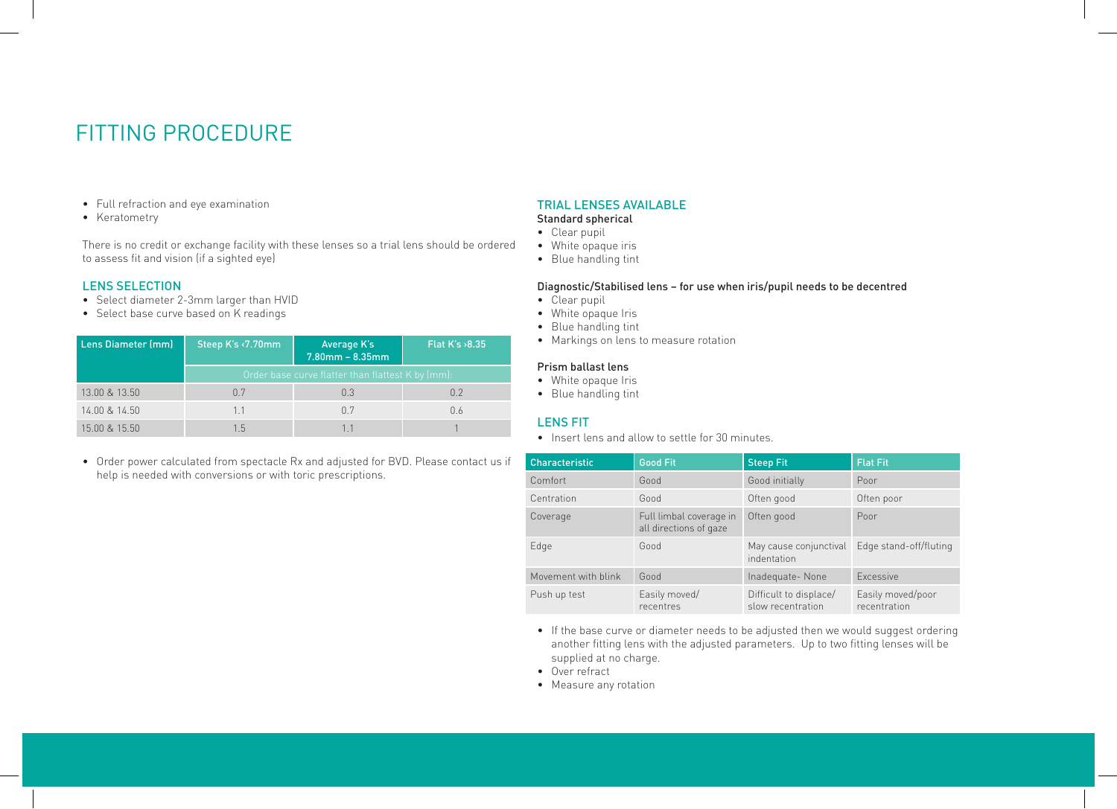### FITTING PROCEDURE

- Full refraction and eye examination
- Keratometry

There is no credit or exchange facility with these lenses so a trial lens should be ordered to assess fit and vision (if a sighted eye)

#### LENS SELECTION

- Select diameter 2-3mm larger than HVID
- Select base curve based on K readings

| <b>Lens Diameter (mm)</b> | Steep K's <7.70mm                                 | Average K's<br>$7.80$ mm – $8.35$ mm | Flat $K's > 8.35$ |  |  |  |
|---------------------------|---------------------------------------------------|--------------------------------------|-------------------|--|--|--|
|                           | Order base curve flatter than flattest K by (mm): |                                      |                   |  |  |  |
| 13.00 & 13.50             | 0.7                                               | 0.3                                  | 0.2               |  |  |  |
| 14.00 & 14.50             | 1.1                                               | 0.7                                  | 0.6               |  |  |  |
| 15.00 & 15.50             | 1.5                                               |                                      |                   |  |  |  |

• Order power calculated from spectacle Rx and adjusted for BVD. Please contact us if help is needed with conversions or with toric prescriptions.

#### TRIAL LENSES AVAILABLE

#### Standard spherical

- Clear pupil
- White opaque iris
- Blue handling tint

#### Diagnostic/Stabilised lens – for use when iris/pupil needs to be decentred

- Clear pupil
- White opaque Iris
- Blue handling tint
- Markings on lens to measure rotation

#### Prism ballast lens

- White opaque Iris
- Blue handling tint

#### LENS FIT

• Insert lens and allow to settle for 30 minutes.

| <b>Characteristic</b> | <b>Good Fit</b>                                   | <b>Steep Fit</b>                            | <b>Flat Fit</b>                   |
|-----------------------|---------------------------------------------------|---------------------------------------------|-----------------------------------|
| Comfort               | Good                                              | Good initially                              | Poor                              |
| Centration            | Good                                              | Often good                                  | Often poor                        |
| Coverage              | Full limbal coverage in<br>all directions of gaze | Often good                                  | Poor                              |
| Edge                  | Good                                              | May cause conjunctival<br>indentation       | Edge stand-off/fluting            |
| Movement with blink   | Good                                              | Inadequate-None                             | Excessive                         |
| Push up test          | Easily moved/<br>recentres                        | Difficult to displace/<br>slow recentration | Easily moved/poor<br>recentration |

- If the base curve or diameter needs to be adjusted then we would suggest ordering another fitting lens with the adjusted parameters. Up to two fitting lenses will be supplied at no charge.
- Over refract
- Measure any rotation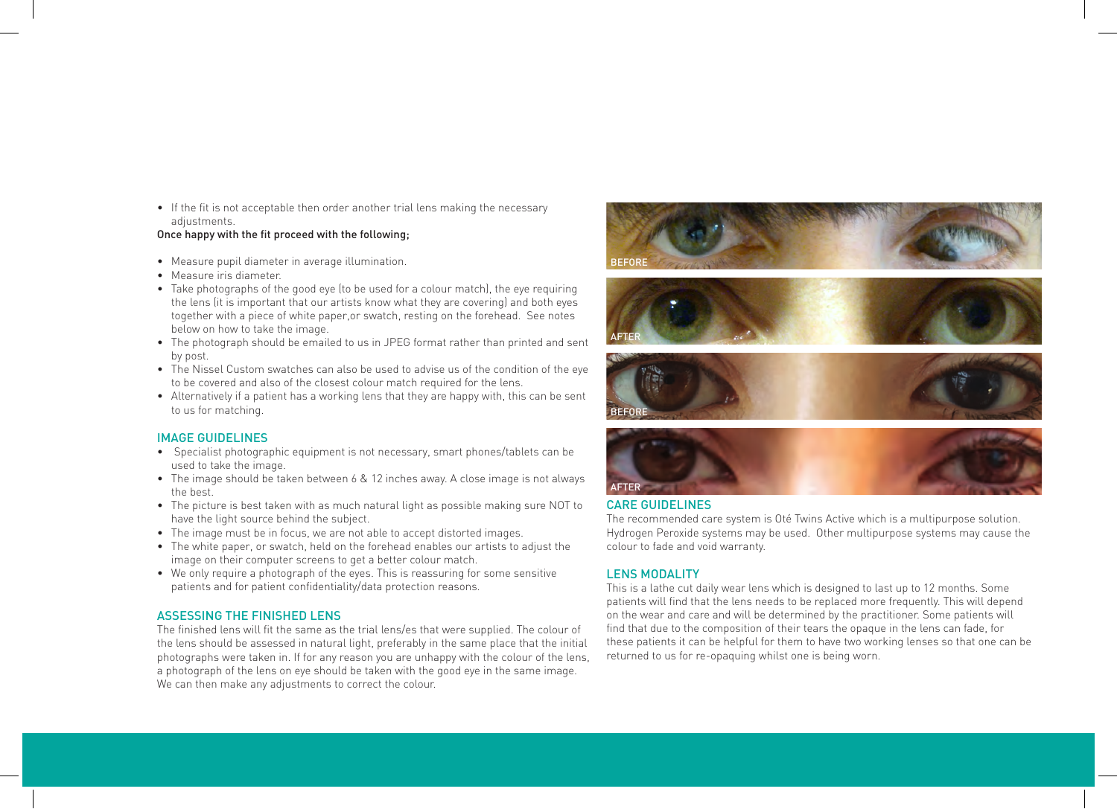• If the fit is not acceptable then order another trial lens making the necessary adjustments.

#### Once happy with the fit proceed with the following;

- Measure pupil diameter in average illumination.
- Measure iris diameter.
- Take photographs of the good eye (to be used for a colour match), the eye requiring the lens (it is important that our artists know what they are covering) and both eyes together with a piece of white paper,or swatch, resting on the forehead. See notes below on how to take the image.
- The photograph should be emailed to us in JPEG format rather than printed and sent by post.
- The Nissel Custom swatches can also be used to advise us of the condition of the eye to be covered and also of the closest colour match required for the lens.
- Alternatively if a patient has a working lens that they are happy with, this can be sent to us for matching.

#### IMAGE GUIDELINES

- Specialist photographic equipment is not necessary, smart phones/tablets can be used to take the image.
- The image should be taken between 6 & 12 inches away. A close image is not always the best.
- The picture is best taken with as much natural light as possible making sure NOT to have the light source behind the subject.
- The image must be in focus, we are not able to accept distorted images.
- The white paper, or swatch, held on the forehead enables our artists to adjust the image on their computer screens to get a better colour match.
- We only require a photograph of the eyes. This is reassuring for some sensitive patients and for patient confidentiality/data protection reasons.

#### ASSESSING THE FINISHED LENS

The finished lens will fit the same as the trial lens/es that were supplied. The colour of the lens should be assessed in natural light, preferably in the same place that the initial photographs were taken in. If for any reason you are unhappy with the colour of the lens, a photograph of the lens on eye should be taken with the good eye in the same image. We can then make any adjustments to correct the colour.









#### CARE GUIDELINES

The recommended care system is Oté Twins Active which is a multipurpose solution. Hydrogen Peroxide systems may be used. Other multipurpose systems may cause the colour to fade and void warranty.

#### LENS MODALITY

This is a lathe cut daily wear lens which is designed to last up to 12 months. Some patients will find that the lens needs to be replaced more frequently. This will depend on the wear and care and will be determined by the practitioner. Some patients will find that due to the composition of their tears the opaque in the lens can fade, for these patients it can be helpful for them to have two working lenses so that one can be returned to us for re-opaquing whilst one is being worn.